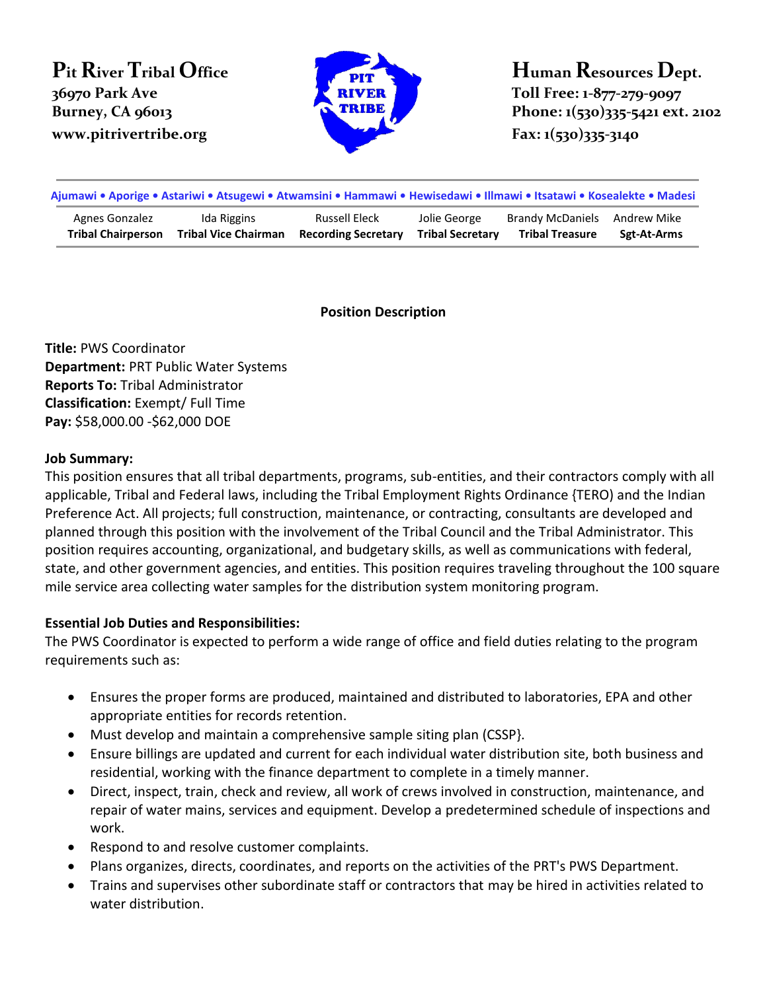# **Pit River Tribal Office 36970 Park Ave www.pitrivertribe.org Fax: 1(530)335-3140**



**Human Resources Dept. Toll Free: 1-877-279-9097 Burney, CA 96013 Phone: 1(530)335-5421 ext. 2102** 

| Ajumawi • Aporige • Astariwi • Atsugewi • Atwamsini • Hammawi • Hewisedawi • Illmawi • Itsatawi • Kosealekte • Madesi |                             |                            |                         |                              |             |
|-----------------------------------------------------------------------------------------------------------------------|-----------------------------|----------------------------|-------------------------|------------------------------|-------------|
| Agnes Gonzalez                                                                                                        | Ida Riggins                 | Russell Eleck              | Jolie George            | Brandy McDaniels Andrew Mike | Sgt-At-Arms |
| <b>Tribal Chairperson</b>                                                                                             | <b>Tribal Vice Chairman</b> | <b>Recording Secretary</b> | <b>Tribal Secretary</b> | <b>Tribal Treasure</b>       |             |

#### **Position Description**

**Title:** PWS Coordinator **Department:** PRT Public Water Systems **Reports To:** Tribal Administrator **Classification:** Exempt/ Full Time **Pay:** \$58,000.00 -\$62,000 DOE

#### **Job Summary:**

This position ensures that all tribal departments, programs, sub-entities, and their contractors comply with all applicable, Tribal and Federal laws, including the Tribal Employment Rights Ordinance {TERO) and the Indian Preference Act. All projects; full construction, maintenance, or contracting, consultants are developed and planned through this position with the involvement of the Tribal Council and the Tribal Administrator. This position requires accounting, organizational, and budgetary skills, as well as communications with federal, state, and other government agencies, and entities. This position requires traveling throughout the 100 square mile service area collecting water samples for the distribution system monitoring program.

## **Essential Job Duties and Responsibilities:**

The PWS Coordinator is expected to perform a wide range of office and field duties relating to the program requirements such as:

- Ensures the proper forms are produced, maintained and distributed to laboratories, EPA and other appropriate entities for records retention.
- Must develop and maintain a comprehensive sample siting plan (CSSP).
- Ensure billings are updated and current for each individual water distribution site, both business and residential, working with the finance department to complete in a timely manner.
- Direct, inspect, train, check and review, all work of crews involved in construction, maintenance, and repair of water mains, services and equipment. Develop a predetermined schedule of inspections and work.
- Respond to and resolve customer complaints.
- Plans organizes, directs, coordinates, and reports on the activities of the PRT's PWS Department.
- Trains and supervises other subordinate staff or contractors that may be hired in activities related to water distribution.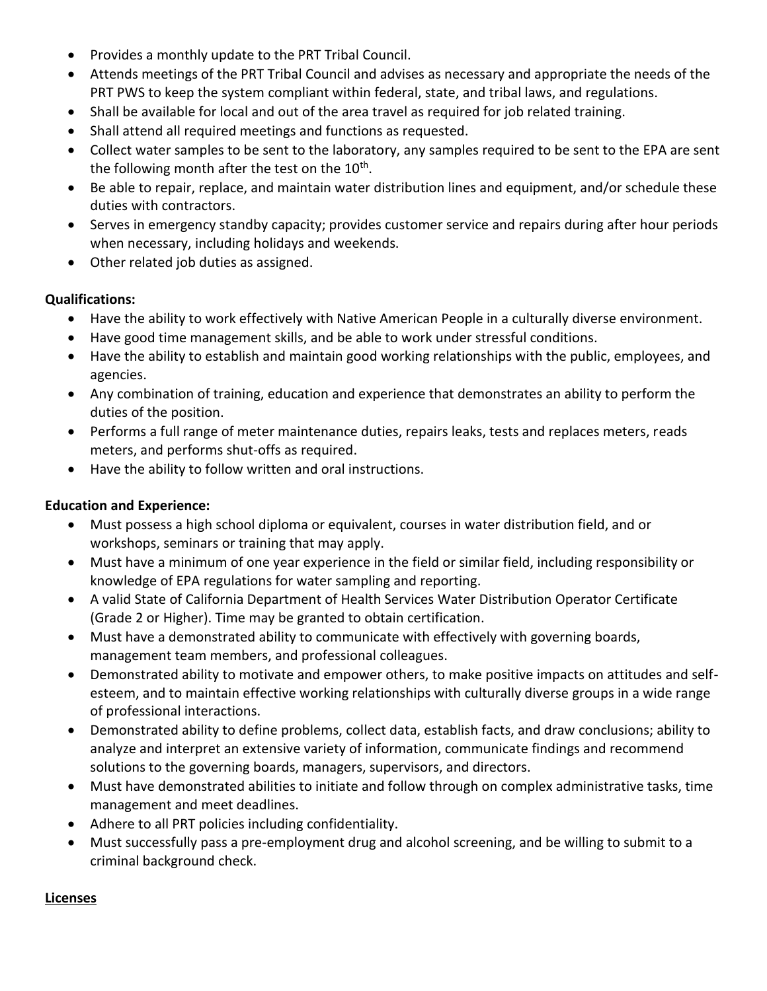- Provides a monthly update to the PRT Tribal Council.
- Attends meetings of the PRT Tribal Council and advises as necessary and appropriate the needs of the PRT PWS to keep the system compliant within federal, state, and tribal laws, and regulations.
- Shall be available for local and out of the area travel as required for job related training.
- Shall attend all required meetings and functions as requested.
- Collect water samples to be sent to the laboratory, any samples required to be sent to the EPA are sent the following month after the test on the 10<sup>th</sup>.
- Be able to repair, replace, and maintain water distribution lines and equipment, and/or schedule these duties with contractors.
- Serves in emergency standby capacity; provides customer service and repairs during after hour periods when necessary, including holidays and weekends.
- Other related job duties as assigned.

## **Qualifications:**

- Have the ability to work effectively with Native American People in a culturally diverse environment.
- Have good time management skills, and be able to work under stressful conditions.
- Have the ability to establish and maintain good working relationships with the public, employees, and agencies.
- Any combination of training, education and experience that demonstrates an ability to perform the duties of the position.
- Performs a full range of meter maintenance duties, repairs leaks, tests and replaces meters, reads meters, and performs shut-offs as required.
- Have the ability to follow written and oral instructions.

## **Education and Experience:**

- Must possess a high school diploma or equivalent, courses in water distribution field, and or workshops, seminars or training that may apply.
- Must have a minimum of one year experience in the field or similar field, including responsibility or knowledge of EPA regulations for water sampling and reporting.
- A valid State of California Department of Health Services Water Distribution Operator Certificate (Grade 2 or Higher). Time may be granted to obtain certification.
- Must have a demonstrated ability to communicate with effectively with governing boards, management team members, and professional colleagues.
- Demonstrated ability to motivate and empower others, to make positive impacts on attitudes and selfesteem, and to maintain effective working relationships with culturally diverse groups in a wide range of professional interactions.
- Demonstrated ability to define problems, collect data, establish facts, and draw conclusions; ability to analyze and interpret an extensive variety of information, communicate findings and recommend solutions to the governing boards, managers, supervisors, and directors.
- Must have demonstrated abilities to initiate and follow through on complex administrative tasks, time management and meet deadlines.
- Adhere to all PRT policies including confidentiality.
- Must successfully pass a pre-employment drug and alcohol screening, and be willing to submit to a criminal background check.

## **Licenses**